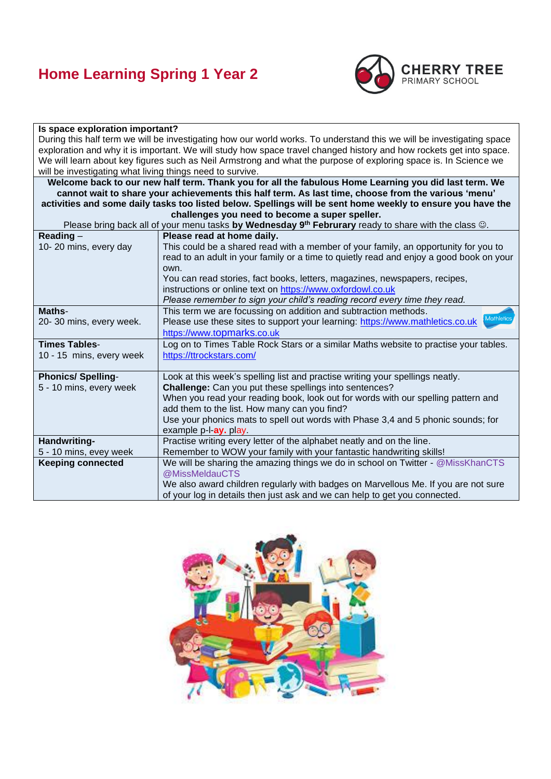## **Home Learning Spring 1 Year 2**



#### **Is space exploration important?** During this half term we will be investigating how our world works. To understand this we will be investigating space exploration and why it is important. We will study how space travel changed history and how rockets get into space. We will learn about key figures such as Neil Armstrong and what the purpose of exploring space is. In Science we will be investigating what living things need to survive. **Welcome back to our new half term. Thank you for all the fabulous Home Learning you did last term. We cannot wait to share your achievements this half term. As last time, choose from the various 'menu' activities and some daily tasks too listed below. Spellings will be sent home weekly to ensure you have the challenges you need to become a super speller.** Please bring back all of your menu tasks **by Wednesday 9th Februrary** ready to share with the class ☺. **Reading** – 10- 20 mins, every day **Please read at home daily.**  This could be a shared read with a member of your family, an opportunity for you to read to an adult in your family or a time to quietly read and enjoy a good book on your own. You can read stories, fact books, letters, magazines, newspapers, recipes, instructions or online text on [https://www.oxfordowl.co.uk](https://www.oxfordowl.co.uk/) *Please remember to sign your child's reading record every time they read.* **Maths**-20- 30 mins, every week. This term we are focussing on addition and subtraction methods. Please use these sites to support your learning: [https://www.mathletics.co.uk](https://www.mathletics.co.uk/) [https://www.t](https://www.topmarks.co.uk/)opmarks.co.uk **Times Tables**-10 - 15 mins, every week Log on to Times Table Rock Stars or a similar Maths website to practise your tables. <https://ttrockstars.com/> **Phonics/ Spelling**-5 - 10 mins, every week Look at this week's spelling list and practise writing your spellings neatly. **Challenge:** Can you put these spellings into sentences? When you read your reading book, look out for words with our spelling pattern and add them to the list. How many can you find? Use your phonics mats to spell out words with Phase 3,4 and 5 phonic sounds; for example p-l-**ay.** play. **Handwriting-**5 - 10 mins, evey week Practise writing every letter of the alphabet neatly and on the line. Remember to WOW your family with your fantastic handwriting skills! **Keeping connected** We will be sharing the amazing things we do in school on Twitter - @MissKhanCTS @MissMeldauCTS We also award children regularly with badges on Marvellous Me. If you are not sure of your log in details then just ask and we can help to get you connected.

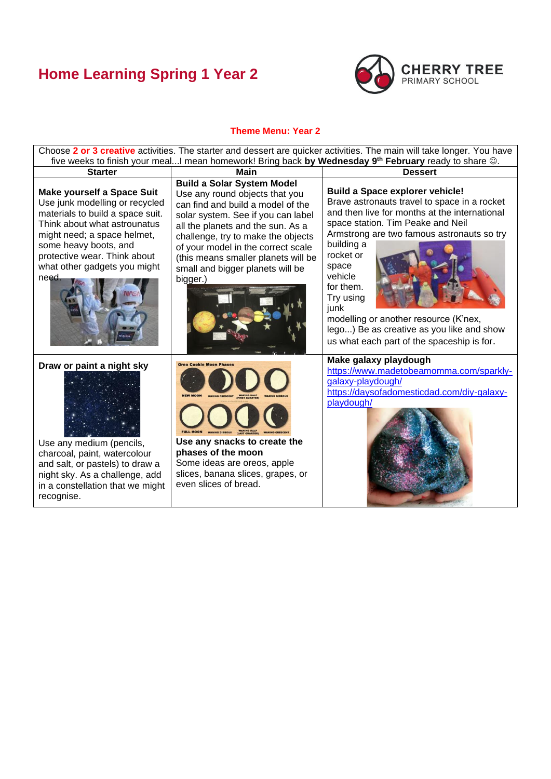### **Home Learning Spring 1 Year 2**



### **Theme Menu: Year 2**